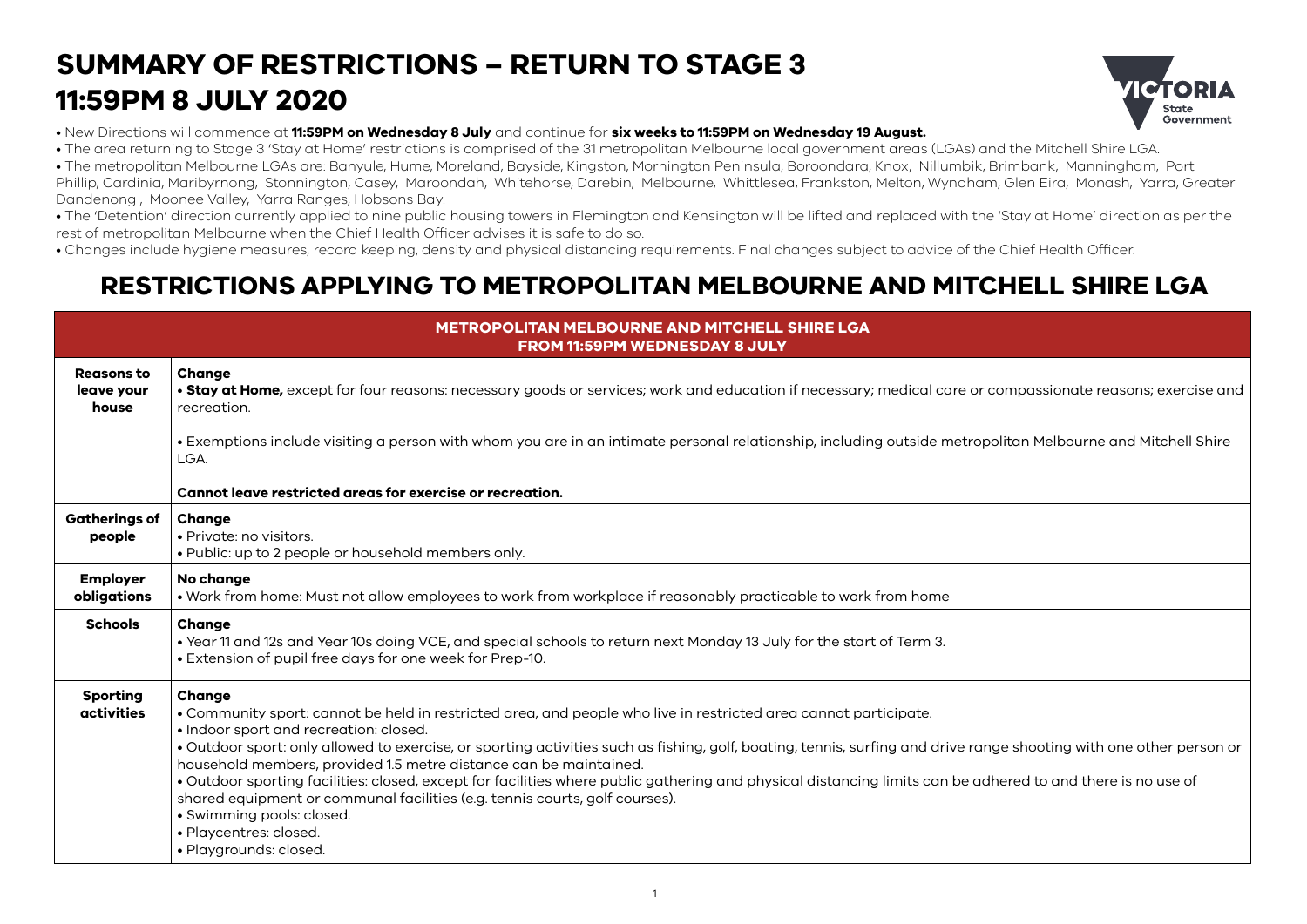## **SUMMARY OF RESTRICTIONS – RETURN TO STAGE 3 11:59PM 8 JULY 2020**



• New Directions will commence at **11:59PM on Wednesday 8 July** and continue for **six weeks to 11:59PM on Wednesday 19 August.**

• The area returning to Stage 3 'Stay at Home' restrictions is comprised of the 31 metropolitan Melbourne local government areas (LGAs) and the Mitchell Shire LGA.

• The metropolitan Melbourne LGAs are: Banyule, Hume, Moreland, Bayside, Kingston, Mornington Peninsula, Boroondara, Knox, Nillumbik, Brimbank, Manningham, Port Phillip, Cardinia, Maribyrnong, Stonnington, Casey, Maroondah, Whitehorse, Darebin, Melbourne, Whittlesea, Frankston, Melton, Wyndham, Glen Eira, Monash, Yarra, Greater Dandenong , Moonee Valley, Yarra Ranges, Hobsons Bay.

• The 'Detention' direction currently applied to nine public housing towers in Flemington and Kensington will be lifted and replaced with the 'Stay at Home' direction as per the rest of metropolitan Melbourne when the Chief Health Officer advises it is safe to do so.

• Changes include hygiene measures, record keeping, density and physical distancing requirements. Final changes subject to advice of the Chief Health Officer.

## **RESTRICTIONS APPLYING TO METROPOLITAN MELBOURNE AND MITCHELL SHIRE LGA**

| <b>METROPOLITAN MELBOURNE AND MITCHELL SHIRE LGA</b><br><b>FROM 11:59PM WEDNESDAY 8 JULY</b> |                                                                                                                                                                                                                                                                                                                                                                                                                                                                                                                                                                                                                                                                                                                                                 |  |
|----------------------------------------------------------------------------------------------|-------------------------------------------------------------------------------------------------------------------------------------------------------------------------------------------------------------------------------------------------------------------------------------------------------------------------------------------------------------------------------------------------------------------------------------------------------------------------------------------------------------------------------------------------------------------------------------------------------------------------------------------------------------------------------------------------------------------------------------------------|--|
| Reasons to<br>leave your<br>house                                                            | Change<br>. Stay at Home, except for four reasons: necessary goods or services; work and education if necessary; medical care or compassionate reasons; exercise and<br>recreation.                                                                                                                                                                                                                                                                                                                                                                                                                                                                                                                                                             |  |
|                                                                                              | • Exemptions include visiting a person with whom you are in an intimate personal relationship, including outside metropolitan Melbourne and Mitchell Shire<br>LGA.                                                                                                                                                                                                                                                                                                                                                                                                                                                                                                                                                                              |  |
|                                                                                              | Cannot leave restricted areas for exercise or recreation.                                                                                                                                                                                                                                                                                                                                                                                                                                                                                                                                                                                                                                                                                       |  |
| <b>Gatherings of</b><br>people                                                               | Change<br>· Private: no visitors.<br>• Public: up to 2 people or household members only.                                                                                                                                                                                                                                                                                                                                                                                                                                                                                                                                                                                                                                                        |  |
| <b>Employer</b><br>obligations                                                               | No change<br>. Work from home: Must not allow employees to work from workplace if reasonably practicable to work from home                                                                                                                                                                                                                                                                                                                                                                                                                                                                                                                                                                                                                      |  |
| <b>Schools</b>                                                                               | Change<br>• Year 11 and 12s and Year 10s doing VCE, and special schools to return next Monday 13 July for the start of Term 3.<br>• Extension of pupil free days for one week for Prep-10.                                                                                                                                                                                                                                                                                                                                                                                                                                                                                                                                                      |  |
| <b>Sporting</b><br>activities                                                                | Change<br>. Community sport: cannot be held in restricted area, and people who live in restricted area cannot participate.<br>• Indoor sport and recreation: closed.<br>· Outdoor sport: only allowed to exercise, or sporting activities such as fishing, golf, boating, tennis, surfing and drive range shooting with one other person or<br>household members, provided 1.5 metre distance can be maintained.<br>. Outdoor sporting facilities: closed, except for facilities where public gathering and physical distancing limits can be adhered to and there is no use of<br>shared equipment or communal facilities (e.g. tennis courts, golf courses).<br>· Swimming pools: closed.<br>· Playcentres: closed.<br>· Playgrounds: closed. |  |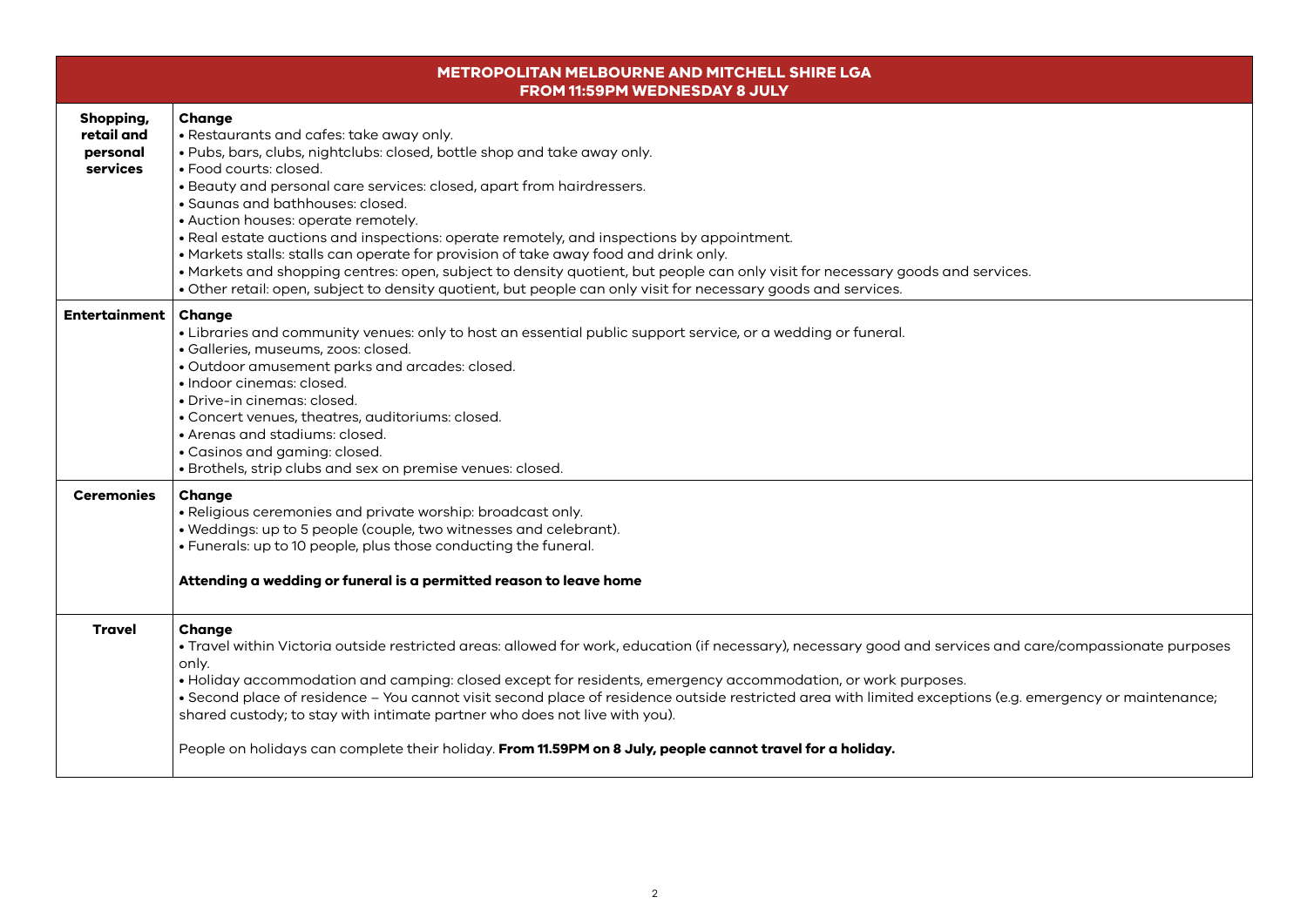| <b>METROPOLITAN MELBOURNE AND MITCHELL SHIRE LGA</b><br>FROM 11:59PM WEDNESDAY 8 JULY |                                                                                                                                                                                                                                                                                                                                                                                                                                                                                                                                                                                                                                                                                                                                                       |  |
|---------------------------------------------------------------------------------------|-------------------------------------------------------------------------------------------------------------------------------------------------------------------------------------------------------------------------------------------------------------------------------------------------------------------------------------------------------------------------------------------------------------------------------------------------------------------------------------------------------------------------------------------------------------------------------------------------------------------------------------------------------------------------------------------------------------------------------------------------------|--|
| Shopping,<br>retail and<br>personal<br>services                                       | Change<br>• Restaurants and cafes: take away only.<br>. Pubs, bars, clubs, nightclubs: closed, bottle shop and take away only.<br>• Food courts: closed.<br>• Beauty and personal care services: closed, apart from hairdressers.<br>· Saunas and bathhouses: closed.<br>• Auction houses: operate remotely.<br>. Real estate auctions and inspections: operate remotely, and inspections by appointment.<br>• Markets stalls: stalls can operate for provision of take away food and drink only.<br>• Markets and shopping centres: open, subject to density quotient, but people can only visit for necessary goods and services.<br>. Other retail: open, subject to density quotient, but people can only visit for necessary goods and services. |  |
| <b>Entertainment</b>                                                                  | <b>Change</b><br>• Libraries and community venues: only to host an essential public support service, or a wedding or funeral.<br>· Galleries, museums, zoos: closed.<br>· Outdoor amusement parks and arcades: closed.<br>· Indoor cinemas: closed.<br>• Drive-in cinemas: closed.<br>• Concert venues, theatres, auditoriums: closed.<br>• Arenas and stadiums: closed.<br>• Casinos and gaming: closed.<br>· Brothels, strip clubs and sex on premise venues: closed.                                                                                                                                                                                                                                                                               |  |
| <b>Ceremonies</b>                                                                     | Change<br>· Religious ceremonies and private worship: broadcast only.<br>· Weddings: up to 5 people (couple, two witnesses and celebrant).<br>. Funerals: up to 10 people, plus those conducting the funeral.<br>Attending a wedding or funeral is a permitted reason to leave home                                                                                                                                                                                                                                                                                                                                                                                                                                                                   |  |
| <b>Travel</b>                                                                         | Change<br>· Travel within Victoria outside restricted areas: allowed for work, education (if necessary), necessary good and services and care/compassionate purposes<br>only.<br>· Holiday accommodation and camping: closed except for residents, emergency accommodation, or work purposes.<br>· Second place of residence - You cannot visit second place of residence outside restricted area with limited exceptions (e.g. emergency or maintenance;<br>shared custody; to stay with intimate partner who does not live with you).<br>People on holidays can complete their holiday. From 11.59PM on 8 July, people cannot travel for a holiday.                                                                                                 |  |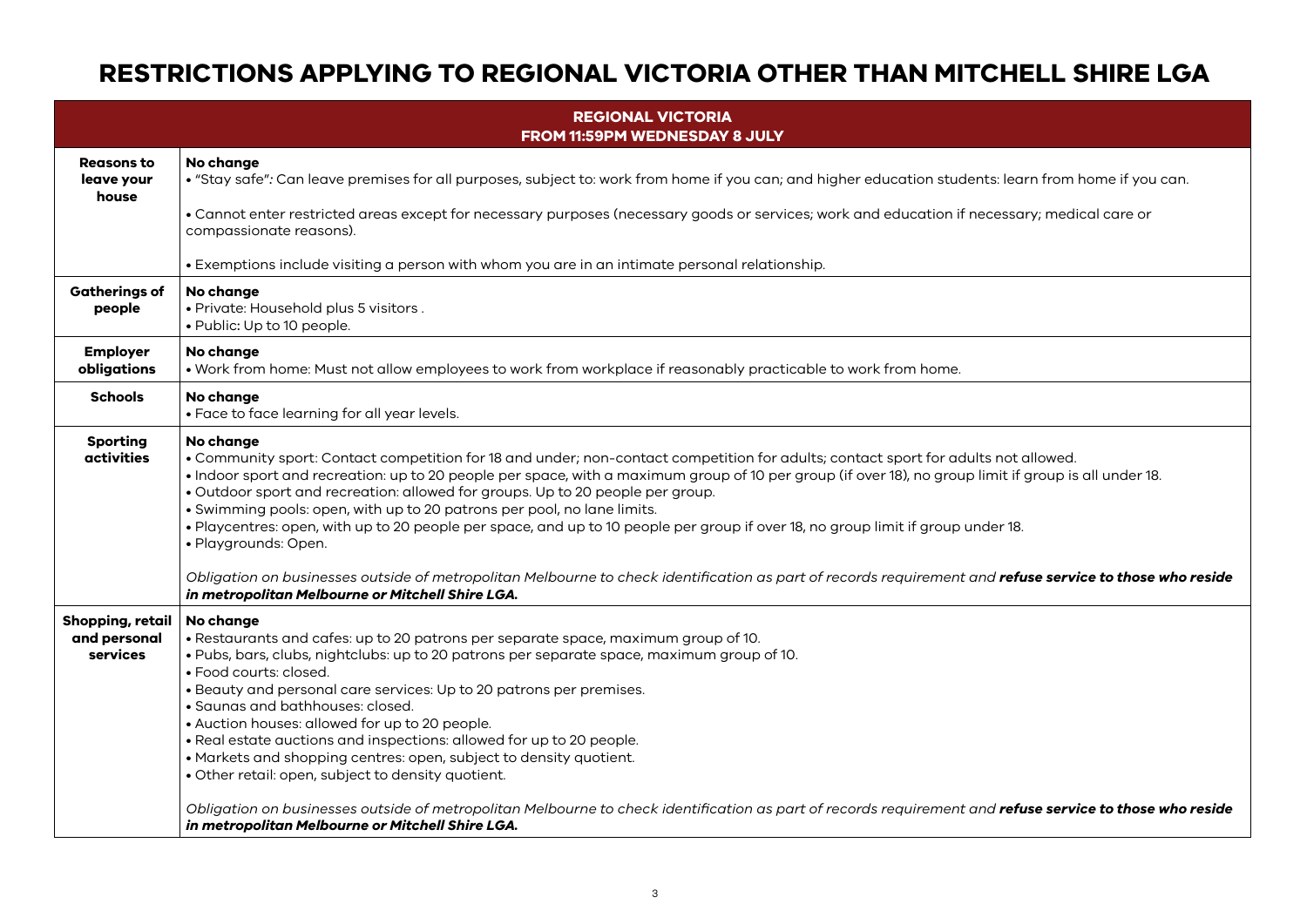## **RESTRICTIONS APPLYING TO REGIONAL VICTORIA OTHER THAN MITCHELL SHIRE LGA**

| <b>REGIONAL VICTORIA</b><br>FROM 11:59PM WEDNESDAY 8 JULY |                                                                                                                                                                                                                                                                                                                                                                                                                                                                                                                                                                                                                                                                                                                                                                                                                                                   |  |  |
|-----------------------------------------------------------|---------------------------------------------------------------------------------------------------------------------------------------------------------------------------------------------------------------------------------------------------------------------------------------------------------------------------------------------------------------------------------------------------------------------------------------------------------------------------------------------------------------------------------------------------------------------------------------------------------------------------------------------------------------------------------------------------------------------------------------------------------------------------------------------------------------------------------------------------|--|--|
| <b>Reasons to</b><br>leave your<br>house                  | No change<br>· "Stay safe": Can leave premises for all purposes, subject to: work from home if you can; and higher education students: learn from home if you can.<br>• Cannot enter restricted areas except for necessary purposes (necessary goods or services; work and education if necessary; medical care or<br>compassionate reasons).<br>• Exemptions include visiting a person with whom you are in an intimate personal relationship.                                                                                                                                                                                                                                                                                                                                                                                                   |  |  |
| <b>Gatherings of</b><br>people                            | No change<br>· Private: Household plus 5 visitors.<br>• Public: Up to 10 people.                                                                                                                                                                                                                                                                                                                                                                                                                                                                                                                                                                                                                                                                                                                                                                  |  |  |
| <b>Employer</b><br>obligations                            | No change<br>. Work from home: Must not allow employees to work from workplace if reasonably practicable to work from home.                                                                                                                                                                                                                                                                                                                                                                                                                                                                                                                                                                                                                                                                                                                       |  |  |
| <b>Schools</b>                                            | No change<br>• Face to face learning for all year levels.                                                                                                                                                                                                                                                                                                                                                                                                                                                                                                                                                                                                                                                                                                                                                                                         |  |  |
| <b>Sporting</b><br>activities                             | No change<br>. Community sport: Contact competition for 18 and under; non-contact competition for adults; contact sport for adults not allowed.<br>. Indoor sport and recreation: up to 20 people per space, with a maximum group of 10 per group (if over 18), no group limit if group is all under 18.<br>. Outdoor sport and recreation: allowed for groups. Up to 20 people per group.<br>· Swimming pools: open, with up to 20 patrons per pool, no lane limits.<br>. Playcentres: open, with up to 20 people per space, and up to 10 people per group if over 18, no group limit if group under 18.<br>· Playgrounds: Open.<br>Obligation on businesses outside of metropolitan Melbourne to check identification as part of records requirement and refuse service to those who reside<br>in metropolitan Melbourne or Mitchell Shire LGA. |  |  |
| Shopping, retail<br>and personal<br>services              | No change<br>. Restaurants and cafes: up to 20 patrons per separate space, maximum group of 10.<br>. Pubs, bars, clubs, nightclubs: up to 20 patrons per separate space, maximum group of 10.<br>• Food courts: closed.<br>• Beauty and personal care services: Up to 20 patrons per premises.<br>· Saunas and bathhouses: closed.<br>• Auction houses: allowed for up to 20 people.<br>. Real estate auctions and inspections: allowed for up to 20 people.<br>• Markets and shopping centres: open, subject to density quotient.<br>· Other retail: open, subject to density quotient.<br>Obligation on businesses outside of metropolitan Melbourne to check identification as part of records requirement and refuse service to those who reside<br>in metropolitan Melbourne or Mitchell Shire LGA.                                          |  |  |